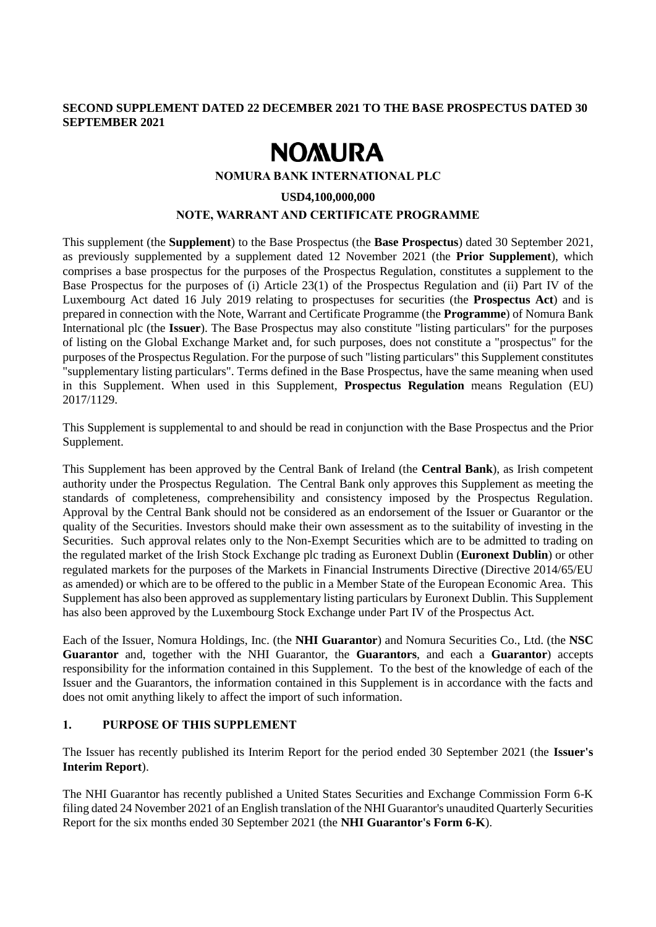## **SECOND SUPPLEMENT DATED 22 DECEMBER 2021 TO THE BASE PROSPECTUS DATED 30 SEPTEMBER 2021**

# **NOMURA**

#### **NOMURA BANK INTERNATIONAL PLC**

#### **USD4,100,000,000**

## **NOTE, WARRANT AND CERTIFICATE PROGRAMME**

This supplement (the **Supplement**) to the Base Prospectus (the **Base Prospectus**) dated 30 September 2021, as previously supplemented by a supplement dated 12 November 2021 (the **Prior Supplement**), which comprises a base prospectus for the purposes of the Prospectus Regulation, constitutes a supplement to the Base Prospectus for the purposes of (i) Article 23(1) of the Prospectus Regulation and (ii) Part IV of the Luxembourg Act dated 16 July 2019 relating to prospectuses for securities (the **Prospectus Act**) and is prepared in connection with the Note, Warrant and Certificate Programme (the **Programme**) of Nomura Bank International plc (the **Issuer**). The Base Prospectus may also constitute "listing particulars" for the purposes of listing on the Global Exchange Market and, for such purposes, does not constitute a "prospectus" for the purposes of the Prospectus Regulation. For the purpose of such "listing particulars" this Supplement constitutes "supplementary listing particulars". Terms defined in the Base Prospectus, have the same meaning when used in this Supplement. When used in this Supplement, **Prospectus Regulation** means Regulation (EU) 2017/1129.

This Supplement is supplemental to and should be read in conjunction with the Base Prospectus and the Prior Supplement.

This Supplement has been approved by the Central Bank of Ireland (the **Central Bank**), as Irish competent authority under the Prospectus Regulation. The Central Bank only approves this Supplement as meeting the standards of completeness, comprehensibility and consistency imposed by the Prospectus Regulation. Approval by the Central Bank should not be considered as an endorsement of the Issuer or Guarantor or the quality of the Securities. Investors should make their own assessment as to the suitability of investing in the Securities. Such approval relates only to the Non-Exempt Securities which are to be admitted to trading on the regulated market of the Irish Stock Exchange plc trading as Euronext Dublin (**Euronext Dublin**) or other regulated markets for the purposes of the Markets in Financial Instruments Directive (Directive 2014/65/EU as amended) or which are to be offered to the public in a Member State of the European Economic Area. This Supplement has also been approved as supplementary listing particulars by Euronext Dublin. This Supplement has also been approved by the Luxembourg Stock Exchange under Part IV of the Prospectus Act.

Each of the Issuer, Nomura Holdings, Inc. (the **NHI Guarantor**) and Nomura Securities Co., Ltd. (the **NSC Guarantor** and, together with the NHI Guarantor, the **Guarantors**, and each a **Guarantor**) accepts responsibility for the information contained in this Supplement. To the best of the knowledge of each of the Issuer and the Guarantors, the information contained in this Supplement is in accordance with the facts and does not omit anything likely to affect the import of such information.

### **1. PURPOSE OF THIS SUPPLEMENT**

The Issuer has recently published its Interim Report for the period ended 30 September 2021 (the **Issuer's Interim Report**).

The NHI Guarantor has recently published a United States Securities and Exchange Commission Form 6-K filing dated 24 November 2021 of an English translation of the NHI Guarantor's unaudited Quarterly Securities Report for the six months ended 30 September 2021 (the **NHI Guarantor's Form 6-K**).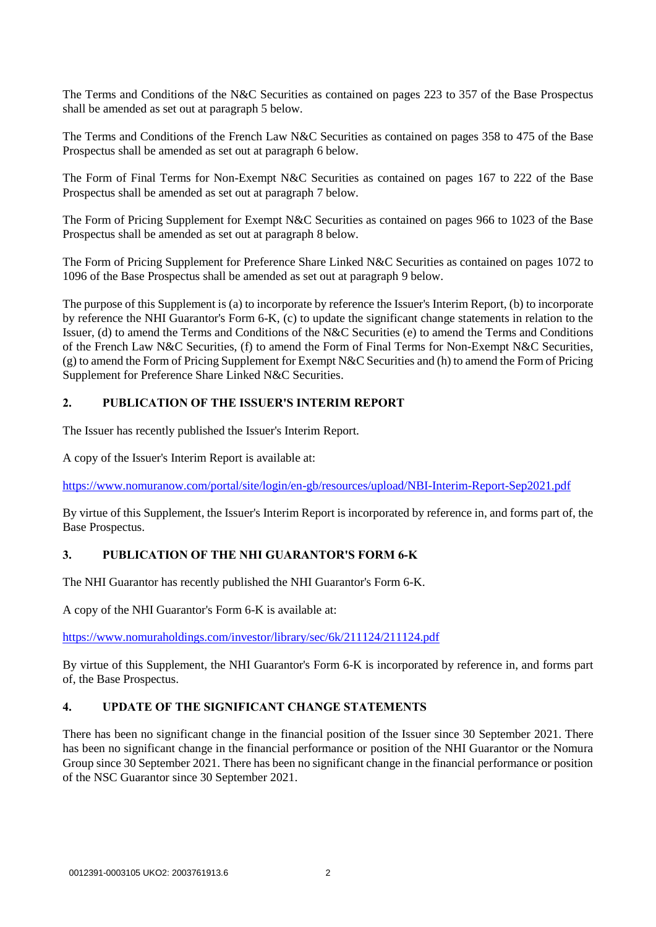The Terms and Conditions of the N&C Securities as contained on pages 223 to 357 of the Base Prospectus shall be amended as set out at paragraph 5 below.

The Terms and Conditions of the French Law N&C Securities as contained on pages 358 to 475 of the Base Prospectus shall be amended as set out at paragraph 6 below.

The Form of Final Terms for Non-Exempt N&C Securities as contained on pages 167 to 222 of the Base Prospectus shall be amended as set out at paragraph 7 below.

The Form of Pricing Supplement for Exempt N&C Securities as contained on pages 966 to 1023 of the Base Prospectus shall be amended as set out at paragraph 8 below.

The Form of Pricing Supplement for Preference Share Linked N&C Securities as contained on pages 1072 to 1096 of the Base Prospectus shall be amended as set out at paragraph 9 below.

The purpose of this Supplement is (a) to incorporate by reference the Issuer's Interim Report, (b) to incorporate by reference the NHI Guarantor's Form 6-K, (c) to update the significant change statements in relation to the Issuer, (d) to amend the Terms and Conditions of the N&C Securities (e) to amend the Terms and Conditions of the French Law N&C Securities, (f) to amend the Form of Final Terms for Non-Exempt N&C Securities, (g) to amend the Form of Pricing Supplement for Exempt N&C Securities and (h) to amend the Form of Pricing Supplement for Preference Share Linked N&C Securities.

# **2. PUBLICATION OF THE ISSUER'S INTERIM REPORT**

The Issuer has recently published the Issuer's Interim Report.

A copy of the Issuer's Interim Report is available at:

<https://www.nomuranow.com/portal/site/login/en-gb/resources/upload/NBI-Interim-Report-Sep2021.pdf>

By virtue of this Supplement, the Issuer's Interim Report is incorporated by reference in, and forms part of, the Base Prospectus.

## **3. PUBLICATION OF THE NHI GUARANTOR'S FORM 6-K**

The NHI Guarantor has recently published the NHI Guarantor's Form 6-K.

A copy of the NHI Guarantor's Form 6-K is available at:

<https://www.nomuraholdings.com/investor/library/sec/6k/211124/211124.pdf>

By virtue of this Supplement, the NHI Guarantor's Form 6-K is incorporated by reference in, and forms part of, the Base Prospectus.

# **4. UPDATE OF THE SIGNIFICANT CHANGE STATEMENTS**

There has been no significant change in the financial position of the Issuer since 30 September 2021. There has been no significant change in the financial performance or position of the NHI Guarantor or the Nomura Group since 30 September 2021. There has been no significant change in the financial performance or position of the NSC Guarantor since 30 September 2021.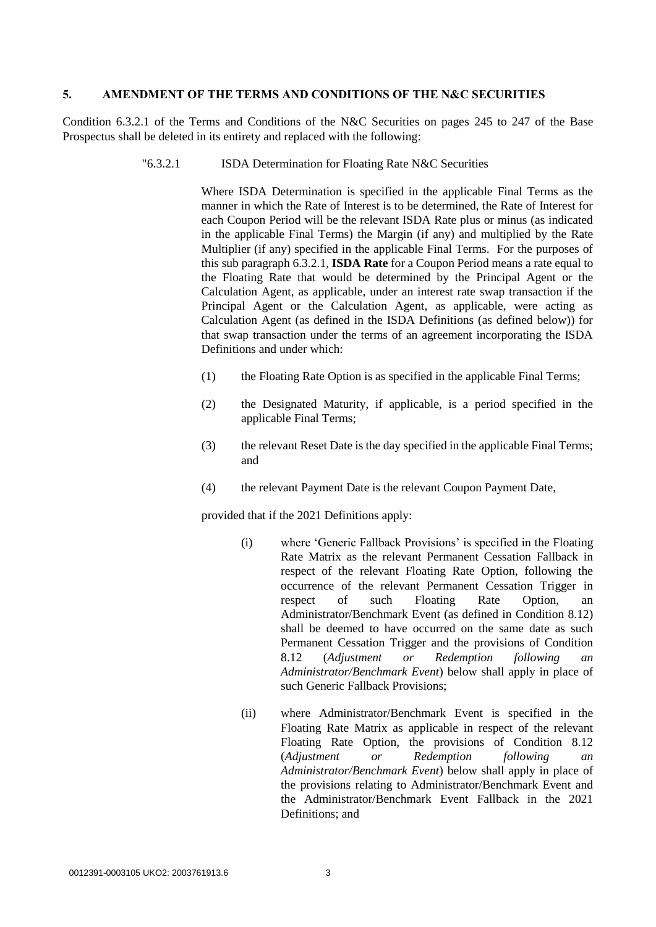#### **5. AMENDMENT OF THE TERMS AND CONDITIONS OF THE N&C SECURITIES**

Condition 6.3.2.1 of the Terms and Conditions of the N&C Securities on pages 245 to 247 of the Base Prospectus shall be deleted in its entirety and replaced with the following:

#### "6.3.2.1 ISDA Determination for Floating Rate N&C Securities

Where ISDA Determination is specified in the applicable Final Terms as the manner in which the Rate of Interest is to be determined, the Rate of Interest for each Coupon Period will be the relevant ISDA Rate plus or minus (as indicated in the applicable Final Terms) the Margin (if any) and multiplied by the Rate Multiplier (if any) specified in the applicable Final Terms. For the purposes of this sub paragraph 6.3.2.1, **ISDA Rate** for a Coupon Period means a rate equal to the Floating Rate that would be determined by the Principal Agent or the Calculation Agent, as applicable, under an interest rate swap transaction if the Principal Agent or the Calculation Agent, as applicable, were acting as Calculation Agent (as defined in the ISDA Definitions (as defined below)) for that swap transaction under the terms of an agreement incorporating the ISDA Definitions and under which:

- (1) the Floating Rate Option is as specified in the applicable Final Terms;
- (2) the Designated Maturity, if applicable, is a period specified in the applicable Final Terms;
- (3) the relevant Reset Date is the day specified in the applicable Final Terms; and
- (4) the relevant Payment Date is the relevant Coupon Payment Date,

provided that if the 2021 Definitions apply:

- (i) where 'Generic Fallback Provisions' is specified in the Floating Rate Matrix as the relevant Permanent Cessation Fallback in respect of the relevant Floating Rate Option, following the occurrence of the relevant Permanent Cessation Trigger in respect of such Floating Rate Option, an Administrator/Benchmark Event (as defined in Condition 8.12) shall be deemed to have occurred on the same date as such Permanent Cessation Trigger and the provisions of Condition 8.12 (*Adjustment or Redemption following an Administrator/Benchmark Event*) below shall apply in place of such Generic Fallback Provisions;
- (ii) where Administrator/Benchmark Event is specified in the Floating Rate Matrix as applicable in respect of the relevant Floating Rate Option, the provisions of Condition 8.12 (*Adjustment or Redemption following an Administrator/Benchmark Event*) below shall apply in place of the provisions relating to Administrator/Benchmark Event and the Administrator/Benchmark Event Fallback in the 2021 Definitions; and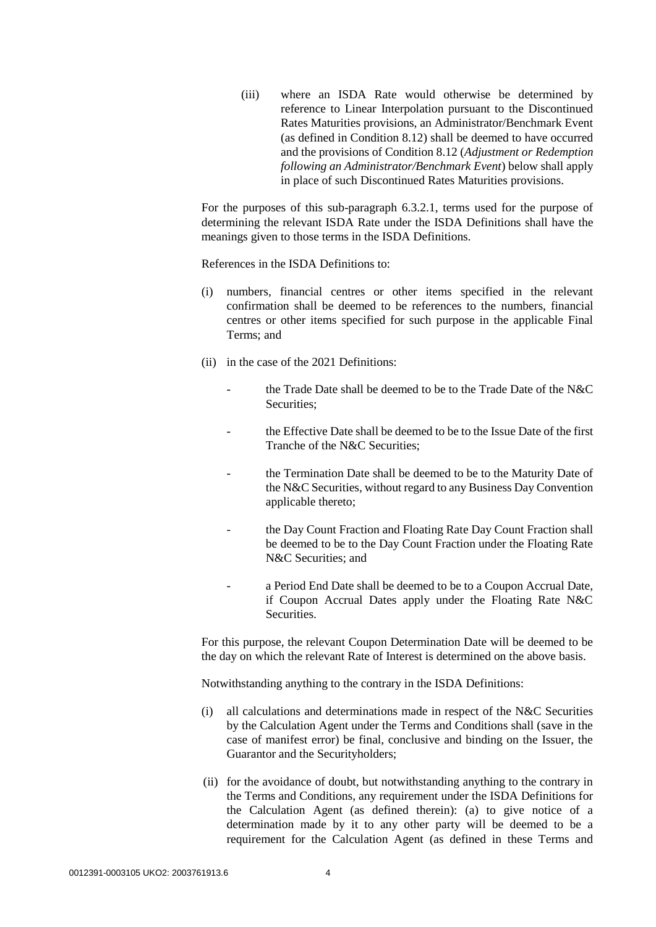(iii) where an ISDA Rate would otherwise be determined by reference to Linear Interpolation pursuant to the Discontinued Rates Maturities provisions, an Administrator/Benchmark Event (as defined in Condition 8.12) shall be deemed to have occurred and the provisions of Condition 8.12 (*Adjustment or Redemption following an Administrator/Benchmark Event*) below shall apply in place of such Discontinued Rates Maturities provisions.

For the purposes of this sub-paragraph 6.3.2.1, terms used for the purpose of determining the relevant ISDA Rate under the ISDA Definitions shall have the meanings given to those terms in the ISDA Definitions.

References in the ISDA Definitions to:

- (i) numbers, financial centres or other items specified in the relevant confirmation shall be deemed to be references to the numbers, financial centres or other items specified for such purpose in the applicable Final Terms; and
- (ii) in the case of the 2021 Definitions:
	- the Trade Date shall be deemed to be to the Trade Date of the N&C Securities:
	- the Effective Date shall be deemed to be to the Issue Date of the first Tranche of the N&C Securities;
	- the Termination Date shall be deemed to be to the Maturity Date of the N&C Securities, without regard to any Business Day Convention applicable thereto;
	- the Day Count Fraction and Floating Rate Day Count Fraction shall be deemed to be to the Day Count Fraction under the Floating Rate N&C Securities; and
	- a Period End Date shall be deemed to be to a Coupon Accrual Date, if Coupon Accrual Dates apply under the Floating Rate N&C Securities.

For this purpose, the relevant Coupon Determination Date will be deemed to be the day on which the relevant Rate of Interest is determined on the above basis.

Notwithstanding anything to the contrary in the ISDA Definitions:

- (i) all calculations and determinations made in respect of the N&C Securities by the Calculation Agent under the Terms and Conditions shall (save in the case of manifest error) be final, conclusive and binding on the Issuer, the Guarantor and the Securityholders;
- (ii) for the avoidance of doubt, but notwithstanding anything to the contrary in the Terms and Conditions, any requirement under the ISDA Definitions for the Calculation Agent (as defined therein): (a) to give notice of a determination made by it to any other party will be deemed to be a requirement for the Calculation Agent (as defined in these Terms and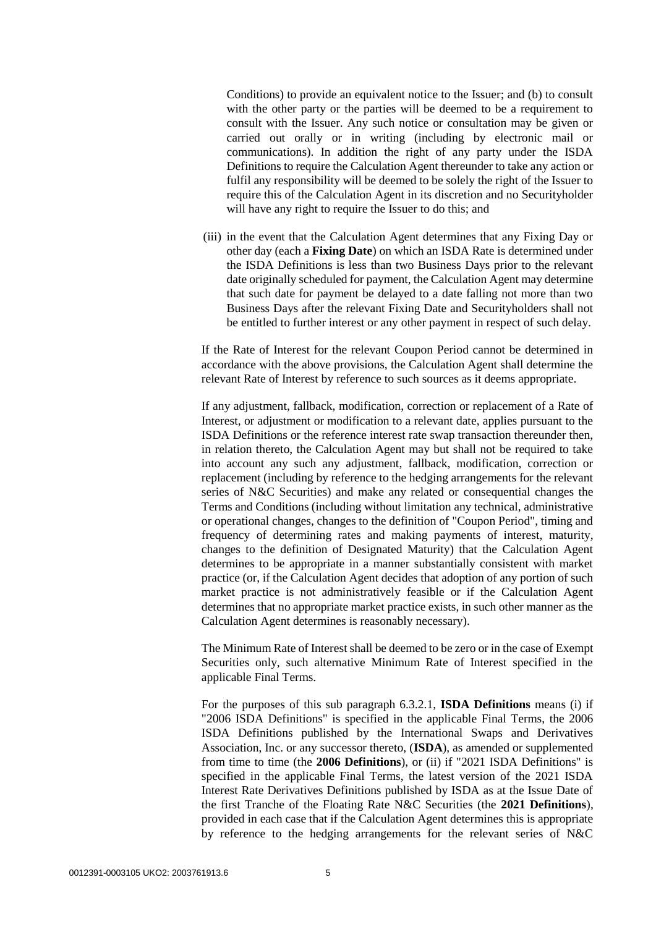Conditions) to provide an equivalent notice to the Issuer; and (b) to consult with the other party or the parties will be deemed to be a requirement to consult with the Issuer. Any such notice or consultation may be given or carried out orally or in writing (including by electronic mail or communications). In addition the right of any party under the ISDA Definitions to require the Calculation Agent thereunder to take any action or fulfil any responsibility will be deemed to be solely the right of the Issuer to require this of the Calculation Agent in its discretion and no Securityholder will have any right to require the Issuer to do this; and

(iii) in the event that the Calculation Agent determines that any Fixing Day or other day (each a **Fixing Date**) on which an ISDA Rate is determined under the ISDA Definitions is less than two Business Days prior to the relevant date originally scheduled for payment, the Calculation Agent may determine that such date for payment be delayed to a date falling not more than two Business Days after the relevant Fixing Date and Securityholders shall not be entitled to further interest or any other payment in respect of such delay.

If the Rate of Interest for the relevant Coupon Period cannot be determined in accordance with the above provisions, the Calculation Agent shall determine the relevant Rate of Interest by reference to such sources as it deems appropriate.

If any adjustment, fallback, modification, correction or replacement of a Rate of Interest, or adjustment or modification to a relevant date, applies pursuant to the ISDA Definitions or the reference interest rate swap transaction thereunder then, in relation thereto, the Calculation Agent may but shall not be required to take into account any such any adjustment, fallback, modification, correction or replacement (including by reference to the hedging arrangements for the relevant series of N&C Securities) and make any related or consequential changes the Terms and Conditions (including without limitation any technical, administrative or operational changes, changes to the definition of "Coupon Period", timing and frequency of determining rates and making payments of interest, maturity, changes to the definition of Designated Maturity) that the Calculation Agent determines to be appropriate in a manner substantially consistent with market practice (or, if the Calculation Agent decides that adoption of any portion of such market practice is not administratively feasible or if the Calculation Agent determines that no appropriate market practice exists, in such other manner as the Calculation Agent determines is reasonably necessary).

The Minimum Rate of Interest shall be deemed to be zero or in the case of Exempt Securities only, such alternative Minimum Rate of Interest specified in the applicable Final Terms.

For the purposes of this sub paragraph 6.3.2.1, **ISDA Definitions** means (i) if "2006 ISDA Definitions" is specified in the applicable Final Terms, the 2006 ISDA Definitions published by the International Swaps and Derivatives Association, Inc. or any successor thereto, (**ISDA**), as amended or supplemented from time to time (the **2006 Definitions**), or (ii) if "2021 ISDA Definitions" is specified in the applicable Final Terms, the latest version of the 2021 ISDA Interest Rate Derivatives Definitions published by ISDA as at the Issue Date of the first Tranche of the Floating Rate N&C Securities (the **2021 Definitions**), provided in each case that if the Calculation Agent determines this is appropriate by reference to the hedging arrangements for the relevant series of N&C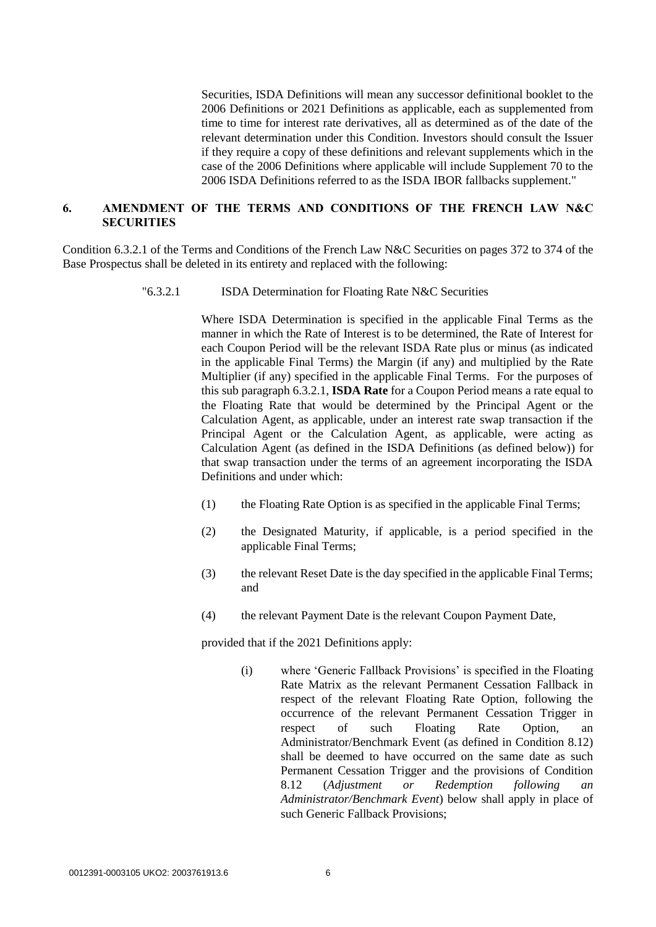Securities, ISDA Definitions will mean any successor definitional booklet to the 2006 Definitions or 2021 Definitions as applicable, each as supplemented from time to time for interest rate derivatives, all as determined as of the date of the relevant determination under this Condition. Investors should consult the Issuer if they require a copy of these definitions and relevant supplements which in the case of the 2006 Definitions where applicable will include Supplement 70 to the 2006 ISDA Definitions referred to as the ISDA IBOR fallbacks supplement."

## **6. AMENDMENT OF THE TERMS AND CONDITIONS OF THE FRENCH LAW N&C SECURITIES**

Condition 6.3.2.1 of the Terms and Conditions of the French Law N&C Securities on pages 372 to 374 of the Base Prospectus shall be deleted in its entirety and replaced with the following:

"6.3.2.1 ISDA Determination for Floating Rate N&C Securities

Where ISDA Determination is specified in the applicable Final Terms as the manner in which the Rate of Interest is to be determined, the Rate of Interest for each Coupon Period will be the relevant ISDA Rate plus or minus (as indicated in the applicable Final Terms) the Margin (if any) and multiplied by the Rate Multiplier (if any) specified in the applicable Final Terms. For the purposes of this sub paragraph 6.3.2.1, **ISDA Rate** for a Coupon Period means a rate equal to the Floating Rate that would be determined by the Principal Agent or the Calculation Agent, as applicable, under an interest rate swap transaction if the Principal Agent or the Calculation Agent, as applicable, were acting as Calculation Agent (as defined in the ISDA Definitions (as defined below)) for that swap transaction under the terms of an agreement incorporating the ISDA Definitions and under which:

- (1) the Floating Rate Option is as specified in the applicable Final Terms;
- (2) the Designated Maturity, if applicable, is a period specified in the applicable Final Terms;
- (3) the relevant Reset Date is the day specified in the applicable Final Terms; and
- (4) the relevant Payment Date is the relevant Coupon Payment Date,

provided that if the 2021 Definitions apply:

(i) where 'Generic Fallback Provisions' is specified in the Floating Rate Matrix as the relevant Permanent Cessation Fallback in respect of the relevant Floating Rate Option, following the occurrence of the relevant Permanent Cessation Trigger in respect of such Floating Rate Option, an Administrator/Benchmark Event (as defined in Condition 8.12) shall be deemed to have occurred on the same date as such Permanent Cessation Trigger and the provisions of Condition 8.12 (*Adjustment or Redemption following an Administrator/Benchmark Event*) below shall apply in place of such Generic Fallback Provisions;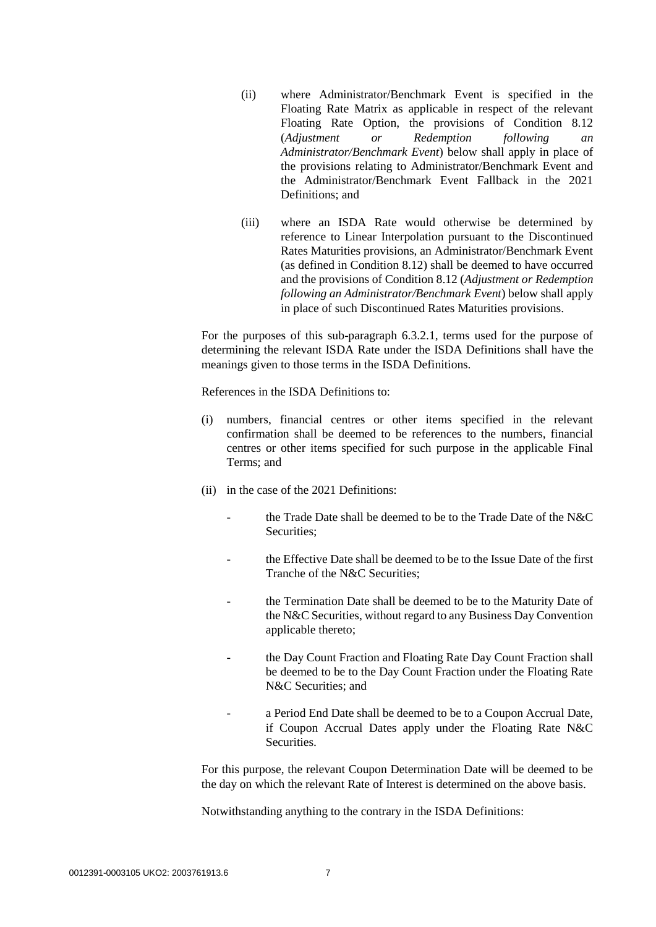- (ii) where Administrator/Benchmark Event is specified in the Floating Rate Matrix as applicable in respect of the relevant Floating Rate Option, the provisions of Condition 8.12 (*Adjustment or Redemption following an Administrator/Benchmark Event*) below shall apply in place of the provisions relating to Administrator/Benchmark Event and the Administrator/Benchmark Event Fallback in the 2021 Definitions; and
- (iii) where an ISDA Rate would otherwise be determined by reference to Linear Interpolation pursuant to the Discontinued Rates Maturities provisions, an Administrator/Benchmark Event (as defined in Condition 8.12) shall be deemed to have occurred and the provisions of Condition 8.12 (*Adjustment or Redemption following an Administrator/Benchmark Event*) below shall apply in place of such Discontinued Rates Maturities provisions.

For the purposes of this sub-paragraph 6.3.2.1, terms used for the purpose of determining the relevant ISDA Rate under the ISDA Definitions shall have the meanings given to those terms in the ISDA Definitions.

References in the ISDA Definitions to:

- (i) numbers, financial centres or other items specified in the relevant confirmation shall be deemed to be references to the numbers, financial centres or other items specified for such purpose in the applicable Final Terms; and
- (ii) in the case of the 2021 Definitions:
	- the Trade Date shall be deemed to be to the Trade Date of the N&C Securities;
	- the Effective Date shall be deemed to be to the Issue Date of the first Tranche of the N&C Securities;
	- the Termination Date shall be deemed to be to the Maturity Date of the N&C Securities, without regard to any Business Day Convention applicable thereto;
	- the Day Count Fraction and Floating Rate Day Count Fraction shall be deemed to be to the Day Count Fraction under the Floating Rate N&C Securities; and
	- a Period End Date shall be deemed to be to a Coupon Accrual Date, if Coupon Accrual Dates apply under the Floating Rate N&C Securities.

For this purpose, the relevant Coupon Determination Date will be deemed to be the day on which the relevant Rate of Interest is determined on the above basis.

Notwithstanding anything to the contrary in the ISDA Definitions: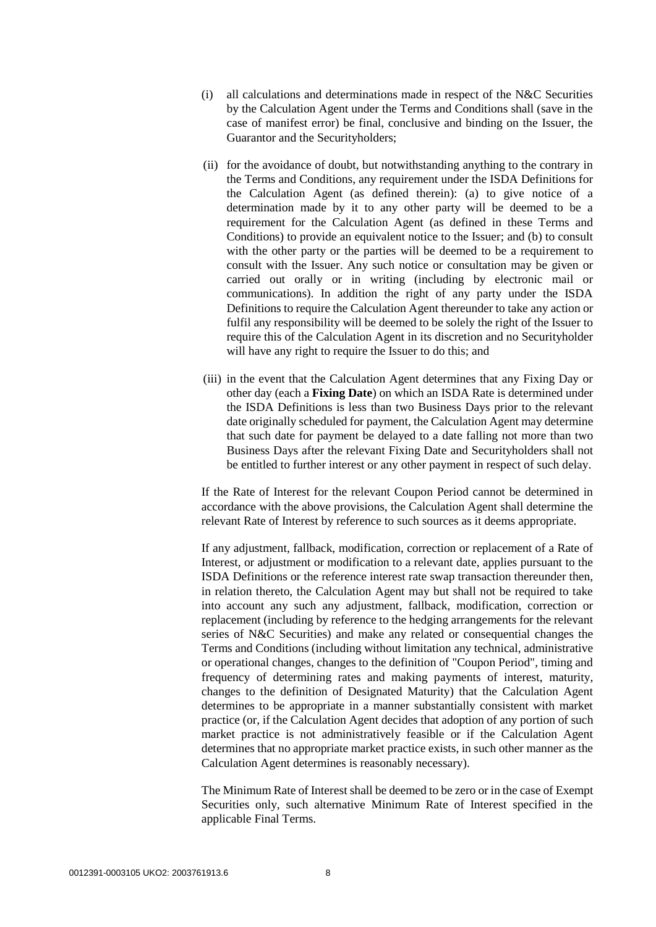- (i) all calculations and determinations made in respect of the  $N&C$  Securities by the Calculation Agent under the Terms and Conditions shall (save in the case of manifest error) be final, conclusive and binding on the Issuer, the Guarantor and the Securityholders;
- (ii) for the avoidance of doubt, but notwithstanding anything to the contrary in the Terms and Conditions, any requirement under the ISDA Definitions for the Calculation Agent (as defined therein): (a) to give notice of a determination made by it to any other party will be deemed to be a requirement for the Calculation Agent (as defined in these Terms and Conditions) to provide an equivalent notice to the Issuer; and (b) to consult with the other party or the parties will be deemed to be a requirement to consult with the Issuer. Any such notice or consultation may be given or carried out orally or in writing (including by electronic mail or communications). In addition the right of any party under the ISDA Definitions to require the Calculation Agent thereunder to take any action or fulfil any responsibility will be deemed to be solely the right of the Issuer to require this of the Calculation Agent in its discretion and no Securityholder will have any right to require the Issuer to do this; and
- (iii) in the event that the Calculation Agent determines that any Fixing Day or other day (each a **Fixing Date**) on which an ISDA Rate is determined under the ISDA Definitions is less than two Business Days prior to the relevant date originally scheduled for payment, the Calculation Agent may determine that such date for payment be delayed to a date falling not more than two Business Days after the relevant Fixing Date and Securityholders shall not be entitled to further interest or any other payment in respect of such delay.

If the Rate of Interest for the relevant Coupon Period cannot be determined in accordance with the above provisions, the Calculation Agent shall determine the relevant Rate of Interest by reference to such sources as it deems appropriate.

If any adjustment, fallback, modification, correction or replacement of a Rate of Interest, or adjustment or modification to a relevant date, applies pursuant to the ISDA Definitions or the reference interest rate swap transaction thereunder then, in relation thereto, the Calculation Agent may but shall not be required to take into account any such any adjustment, fallback, modification, correction or replacement (including by reference to the hedging arrangements for the relevant series of N&C Securities) and make any related or consequential changes the Terms and Conditions (including without limitation any technical, administrative or operational changes, changes to the definition of "Coupon Period", timing and frequency of determining rates and making payments of interest, maturity, changes to the definition of Designated Maturity) that the Calculation Agent determines to be appropriate in a manner substantially consistent with market practice (or, if the Calculation Agent decides that adoption of any portion of such market practice is not administratively feasible or if the Calculation Agent determines that no appropriate market practice exists, in such other manner as the Calculation Agent determines is reasonably necessary).

The Minimum Rate of Interest shall be deemed to be zero or in the case of Exempt Securities only, such alternative Minimum Rate of Interest specified in the applicable Final Terms.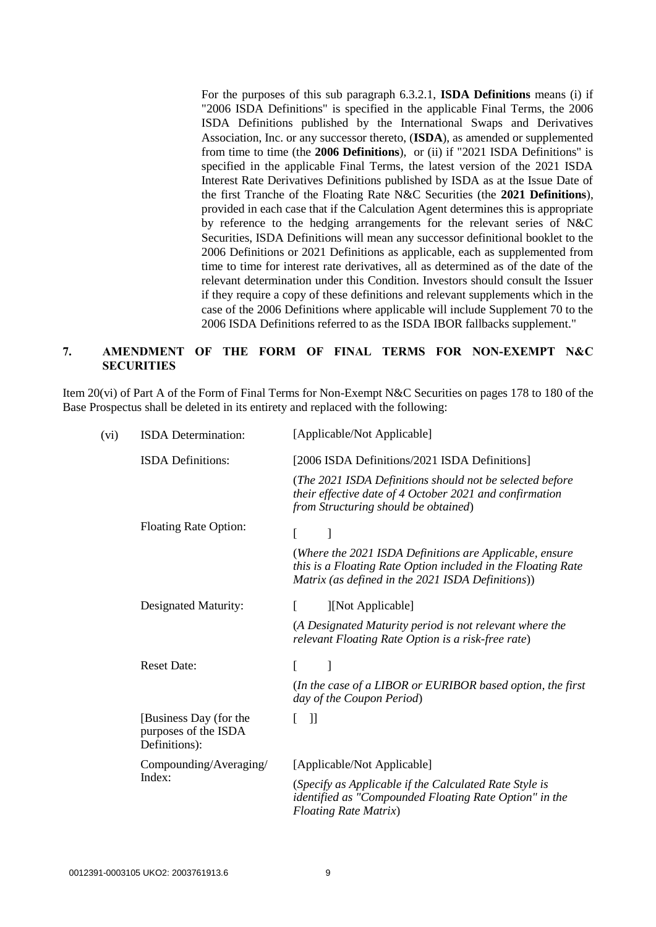For the purposes of this sub paragraph 6.3.2.1, **ISDA Definitions** means (i) if "2006 ISDA Definitions" is specified in the applicable Final Terms, the 2006 ISDA Definitions published by the International Swaps and Derivatives Association, Inc. or any successor thereto, (**ISDA**), as amended or supplemented from time to time (the **2006 Definitions**), or (ii) if "2021 ISDA Definitions" is specified in the applicable Final Terms, the latest version of the 2021 ISDA Interest Rate Derivatives Definitions published by ISDA as at the Issue Date of the first Tranche of the Floating Rate N&C Securities (the **2021 Definitions**), provided in each case that if the Calculation Agent determines this is appropriate by reference to the hedging arrangements for the relevant series of N&C Securities, ISDA Definitions will mean any successor definitional booklet to the 2006 Definitions or 2021 Definitions as applicable, each as supplemented from time to time for interest rate derivatives, all as determined as of the date of the relevant determination under this Condition. Investors should consult the Issuer if they require a copy of these definitions and relevant supplements which in the case of the 2006 Definitions where applicable will include Supplement 70 to the 2006 ISDA Definitions referred to as the ISDA IBOR fallbacks supplement."

## **7. AMENDMENT OF THE FORM OF FINAL TERMS FOR NON-EXEMPT N&C SECURITIES**

Item 20(vi) of Part A of the Form of Final Terms for Non-Exempt N&C Securities on pages 178 to 180 of the Base Prospectus shall be deleted in its entirety and replaced with the following:

| (vi) | <b>ISDA</b> Determination:                                      | [Applicable/Not Applicable]                                                                                                                                                  |
|------|-----------------------------------------------------------------|------------------------------------------------------------------------------------------------------------------------------------------------------------------------------|
|      | <b>ISDA</b> Definitions:                                        | [2006 ISDA Definitions/2021 ISDA Definitions]                                                                                                                                |
|      |                                                                 | (The 2021 ISDA Definitions should not be selected before<br>their effective date of 4 October 2021 and confirmation<br>from Structuring should be obtained)                  |
|      | <b>Floating Rate Option:</b>                                    |                                                                                                                                                                              |
|      |                                                                 | (Where the 2021 ISDA Definitions are Applicable, ensure<br>this is a Floating Rate Option included in the Floating Rate<br>Matrix (as defined in the 2021 ISDA Definitions)) |
|      | Designated Maturity:                                            | ſ<br>][Not Applicable]                                                                                                                                                       |
|      |                                                                 | (A Designated Maturity period is not relevant where the<br>relevant Floating Rate Option is a risk-free rate)                                                                |
|      | <b>Reset Date:</b>                                              | L<br>]                                                                                                                                                                       |
|      |                                                                 | (In the case of a LIBOR or EURIBOR based option, the first<br>day of the Coupon Period)                                                                                      |
|      | [Business Day (for the<br>purposes of the ISDA<br>Definitions): | $\mathbf{J}$                                                                                                                                                                 |
|      | Compounding/Averaging/<br>Index:                                | [Applicable/Not Applicable]                                                                                                                                                  |
|      |                                                                 | (Specify as Applicable if the Calculated Rate Style is<br>identified as "Compounded Floating Rate Option" in the<br><b>Floating Rate Matrix)</b>                             |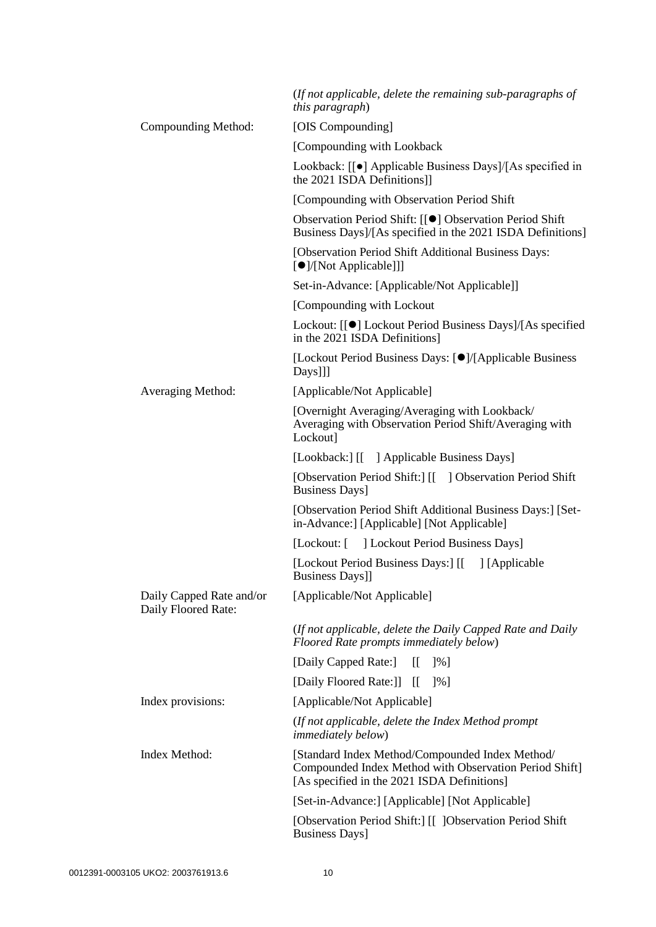|                                                 | (If not applicable, delete the remaining sub-paragraphs of<br><i>this paragraph</i> )                                                                    |
|-------------------------------------------------|----------------------------------------------------------------------------------------------------------------------------------------------------------|
| Compounding Method:                             | [OIS Compounding]                                                                                                                                        |
|                                                 | [Compounding with Lookback]                                                                                                                              |
|                                                 | Lookback: [[ $\bullet$ ] Applicable Business Days]/[As specified in<br>the 2021 ISDA Definitions]]                                                       |
|                                                 | [Compounding with Observation Period Shift]                                                                                                              |
|                                                 | Observation Period Shift: [[●] Observation Period Shift<br>Business Days]/[As specified in the 2021 ISDA Definitions]                                    |
|                                                 | [Observation Period Shift Additional Business Days:<br>[●]/[Not Applicable]]]                                                                            |
|                                                 | Set-in-Advance: [Applicable/Not Applicable]]                                                                                                             |
|                                                 | [Compounding with Lockout]                                                                                                                               |
|                                                 | Lockout: [[●] Lockout Period Business Days]/[As specified<br>in the 2021 ISDA Definitions]                                                               |
|                                                 | [Lockout Period Business Days: [O]/[Applicable Business<br>Days]]]                                                                                       |
| Averaging Method:                               | [Applicable/Not Applicable]                                                                                                                              |
|                                                 | [Overnight Averaging/Averaging with Lookback/<br>Averaging with Observation Period Shift/Averaging with<br>Lockout]                                      |
|                                                 | [Lookback:] [[ ] Applicable Business Days]                                                                                                               |
|                                                 | [Observation Period Shift:] [[ ] Observation Period Shift<br><b>Business Days</b> ]                                                                      |
|                                                 | [Observation Period Shift Additional Business Days:] [Set-<br>in-Advance:] [Applicable] [Not Applicable]                                                 |
|                                                 | [Lockout: [ ] Lockout Period Business Days]                                                                                                              |
|                                                 | [Lockout Period Business Days:] [[ ] [Applicable<br><b>Business Days]]</b>                                                                               |
| Daily Capped Rate and/or<br>Daily Floored Rate: | [Applicable/Not Applicable]                                                                                                                              |
|                                                 | (If not applicable, delete the Daily Capped Rate and Daily<br>Floored Rate prompts immediately below)                                                    |
|                                                 | [Daily Capped Rate:]<br>$\mathbb{I}$<br>$\left[\frac{9}{6}\right]$                                                                                       |
|                                                 | [Daily Floored Rate:]]<br>IL<br>$\frac{1}{6}$                                                                                                            |
| Index provisions:                               | [Applicable/Not Applicable]                                                                                                                              |
|                                                 | (If not applicable, delete the Index Method prompt)<br><i>immediately below)</i>                                                                         |
| Index Method:                                   | [Standard Index Method/Compounded Index Method/<br>Compounded Index Method with Observation Period Shift]<br>[As specified in the 2021 ISDA Definitions] |
|                                                 | [Set-in-Advance:] [Applicable] [Not Applicable]                                                                                                          |
|                                                 | [Observation Period Shift:] [[ ]Observation Period Shift<br>Business Days]                                                                               |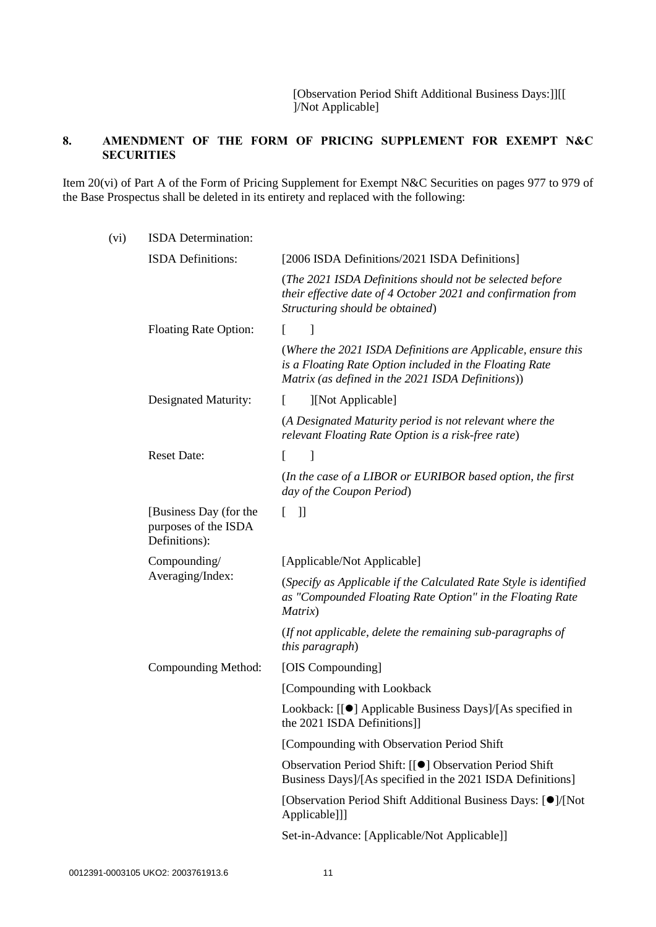[Observation Period Shift Additional Business Days:]][[ ]/Not Applicable]

# **8. AMENDMENT OF THE FORM OF PRICING SUPPLEMENT FOR EXEMPT N&C SECURITIES**

Item 20(vi) of Part A of the Form of Pricing Supplement for Exempt N&C Securities on pages 977 to 979 of the Base Prospectus shall be deleted in its entirety and replaced with the following:

| (vi) | ISDA Determination:                                             |                                                                                                                                                                              |
|------|-----------------------------------------------------------------|------------------------------------------------------------------------------------------------------------------------------------------------------------------------------|
|      | <b>ISDA</b> Definitions:                                        | [2006 ISDA Definitions/2021 ISDA Definitions]                                                                                                                                |
|      |                                                                 | (The 2021 ISDA Definitions should not be selected before<br>their effective date of 4 October 2021 and confirmation from<br>Structuring should be obtained)                  |
|      | <b>Floating Rate Option:</b>                                    | 1<br>L                                                                                                                                                                       |
|      |                                                                 | (Where the 2021 ISDA Definitions are Applicable, ensure this<br>is a Floating Rate Option included in the Floating Rate<br>Matrix (as defined in the 2021 ISDA Definitions)) |
|      | Designated Maturity:                                            | [Not Applicable]<br>$\mathbf{L}$                                                                                                                                             |
|      |                                                                 | (A Designated Maturity period is not relevant where the<br>relevant Floating Rate Option is a risk-free rate)                                                                |
|      | <b>Reset Date:</b>                                              | $\mathbf{I}$<br>L                                                                                                                                                            |
|      |                                                                 | (In the case of a LIBOR or EURIBOR based option, the first<br>day of the Coupon Period)                                                                                      |
|      | [Business Day (for the<br>purposes of the ISDA<br>Definitions): | $\Box$<br>L                                                                                                                                                                  |
|      | Compounding/<br>Averaging/Index:                                | [Applicable/Not Applicable]                                                                                                                                                  |
|      |                                                                 | (Specify as Applicable if the Calculated Rate Style is identified<br>as "Compounded Floating Rate Option" in the Floating Rate<br>Matrix)                                    |
|      |                                                                 | (If not applicable, delete the remaining sub-paragraphs of<br>this paragraph)                                                                                                |
|      | Compounding Method:                                             | [OIS Compounding]                                                                                                                                                            |
|      |                                                                 | [Compounding with Lookback                                                                                                                                                   |
|      |                                                                 | Lookback: [[●] Applicable Business Days]/[As specified in<br>the 2021 ISDA Definitions]]                                                                                     |
|      |                                                                 | [Compounding with Observation Period Shift                                                                                                                                   |
|      |                                                                 | Observation Period Shift: [[●] Observation Period Shift<br>Business Days]/[As specified in the 2021 ISDA Definitions]                                                        |
|      |                                                                 | [Observation Period Shift Additional Business Days: [O]/[Not]<br>Applicable]]]                                                                                               |
|      |                                                                 | Set-in-Advance: [Applicable/Not Applicable]]                                                                                                                                 |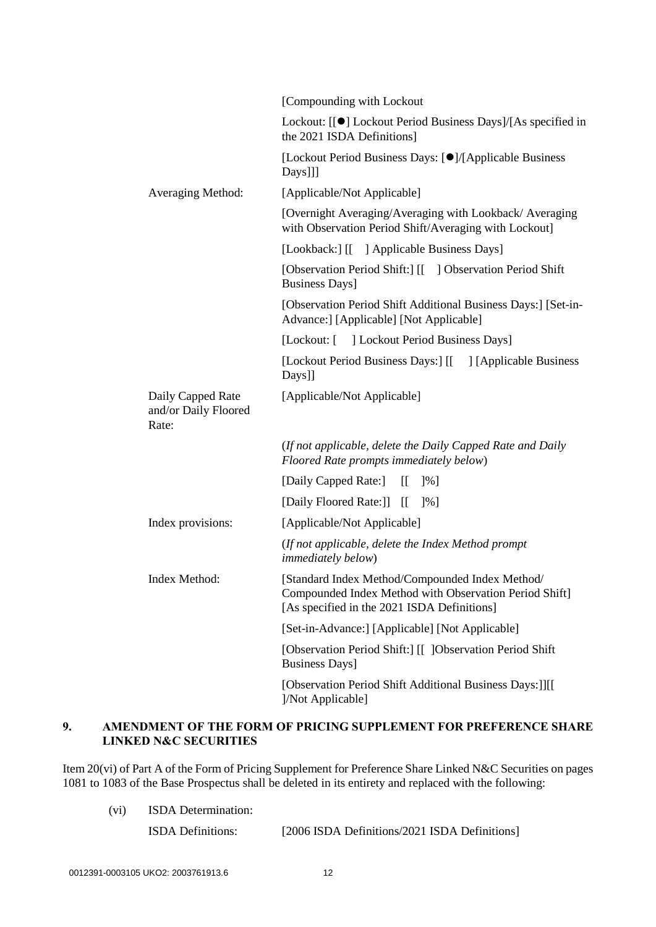|                                                    | [Compounding with Lockout                                                                                                                                |
|----------------------------------------------------|----------------------------------------------------------------------------------------------------------------------------------------------------------|
|                                                    | Lockout: [[●] Lockout Period Business Days]/[As specified in<br>the 2021 ISDA Definitions]                                                               |
|                                                    | [Lockout Period Business Days: [●]/[Applicable Business]<br>Days]]]                                                                                      |
| Averaging Method:                                  | [Applicable/Not Applicable]                                                                                                                              |
|                                                    | [Overnight Averaging/Averaging with Lookback/Averaging<br>with Observation Period Shift/Averaging with Lockout]                                          |
|                                                    | [Lookback:] [[ ] Applicable Business Days]                                                                                                               |
|                                                    | [Observation Period Shift:] [[ ] Observation Period Shift<br><b>Business Days</b> ]                                                                      |
|                                                    | [Observation Period Shift Additional Business Days:] [Set-in-<br>Advance:] [Applicable] [Not Applicable]                                                 |
|                                                    | [Lockout: [ ] Lockout Period Business Days]                                                                                                              |
|                                                    | [Lockout Period Business Days:] [[ ] [Applicable Business<br>Days]]                                                                                      |
| Daily Capped Rate<br>and/or Daily Floored<br>Rate: | [Applicable/Not Applicable]                                                                                                                              |
|                                                    | (If not applicable, delete the Daily Capped Rate and Daily<br>Floored Rate prompts immediately below)                                                    |
|                                                    | [Daily Capped Rate:]<br>$\left[ \right]$<br>[%]                                                                                                          |
|                                                    | [Daily Floored Rate:]]<br>$\prod$<br>$\frac{1}{6}$                                                                                                       |
| Index provisions:                                  | [Applicable/Not Applicable]                                                                                                                              |
|                                                    | (If not applicable, delete the Index Method prompt<br><i>immediately below)</i>                                                                          |
| Index Method:                                      | [Standard Index Method/Compounded Index Method/<br>Compounded Index Method with Observation Period Shift]<br>[As specified in the 2021 ISDA Definitions] |
|                                                    | [Set-in-Advance:] [Applicable] [Not Applicable]                                                                                                          |
|                                                    | [Observation Period Shift:] [[ ]Observation Period Shift<br><b>Business Days</b> ]                                                                       |
|                                                    | [Observation Period Shift Additional Business Days:]][[<br>]/Not Applicable]                                                                             |

## **9. AMENDMENT OF THE FORM OF PRICING SUPPLEMENT FOR PREFERENCE SHARE LINKED N&C SECURITIES**

Item 20(vi) of Part A of the Form of Pricing Supplement for Preference Share Linked N&C Securities on pages 1081 to 1083 of the Base Prospectus shall be deleted in its entirety and replaced with the following:

(vi) ISDA Determination:

ISDA Definitions: [2006 ISDA Definitions/2021 ISDA Definitions]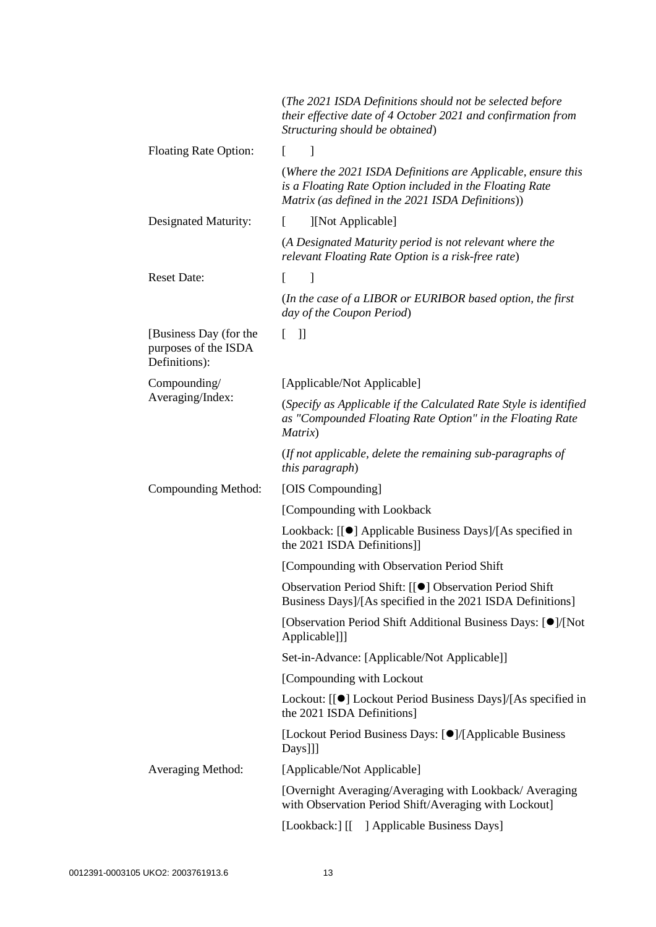|                                                                 | (The 2021 ISDA Definitions should not be selected before<br>their effective date of 4 October 2021 and confirmation from<br>Structuring should be obtained)                  |
|-----------------------------------------------------------------|------------------------------------------------------------------------------------------------------------------------------------------------------------------------------|
| <b>Floating Rate Option:</b>                                    | ]<br>L                                                                                                                                                                       |
|                                                                 | (Where the 2021 ISDA Definitions are Applicable, ensure this<br>is a Floating Rate Option included in the Floating Rate<br>Matrix (as defined in the 2021 ISDA Definitions)) |
| Designated Maturity:                                            | [Not Applicable]<br>L                                                                                                                                                        |
|                                                                 | (A Designated Maturity period is not relevant where the<br>relevant Floating Rate Option is a risk-free rate)                                                                |
| <b>Reset Date:</b>                                              | $\mathbf{I}$<br>L                                                                                                                                                            |
|                                                                 | (In the case of a LIBOR or EURIBOR based option, the first<br>day of the Coupon Period)                                                                                      |
| [Business Day (for the<br>purposes of the ISDA<br>Definitions): | $\exists$<br>$\mathbb{F}$                                                                                                                                                    |
| Compounding/                                                    | [Applicable/Not Applicable]                                                                                                                                                  |
| Averaging/Index:                                                | (Specify as Applicable if the Calculated Rate Style is identified<br>as "Compounded Floating Rate Option" in the Floating Rate<br>Matrix)                                    |
|                                                                 | (If not applicable, delete the remaining sub-paragraphs of<br>this paragraph)                                                                                                |
| Compounding Method:                                             | [OIS Compounding]                                                                                                                                                            |
|                                                                 | [Compounding with Lookback]                                                                                                                                                  |
|                                                                 | Lookback: [[●] Applicable Business Days]/[As specified in<br>the 2021 ISDA Definitions]]                                                                                     |
|                                                                 | [Compounding with Observation Period Shift                                                                                                                                   |
|                                                                 | Observation Period Shift: [[●] Observation Period Shift<br>Business Days]/[As specified in the 2021 ISDA Definitions]                                                        |
|                                                                 | [Observation Period Shift Additional Business Days: [O]/[Not]<br>Applicable]]]                                                                                               |
|                                                                 | Set-in-Advance: [Applicable/Not Applicable]]                                                                                                                                 |
|                                                                 | [Compounding with Lockout]                                                                                                                                                   |
|                                                                 | Lockout: [[●] Lockout Period Business Days]/[As specified in<br>the 2021 ISDA Definitions]                                                                                   |
|                                                                 | [Lockout Period Business Days: [●]/[Applicable Business]<br>Days]]]                                                                                                          |
| Averaging Method:                                               | [Applicable/Not Applicable]                                                                                                                                                  |
|                                                                 | [Overnight Averaging/Averaging with Lookback/Averaging<br>with Observation Period Shift/Averaging with Lockout]                                                              |
|                                                                 | [Lookback:] [[ ] Applicable Business Days]                                                                                                                                   |